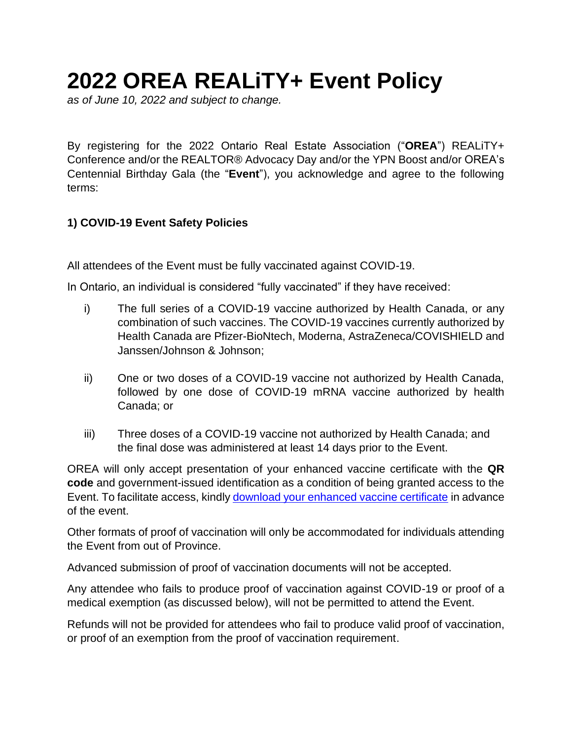# **2022 OREA REALiTY+ Event Policy**

*as of June 10, 2022 and subject to change.* 

By registering for the 2022 Ontario Real Estate Association ("**OREA**") REALiTY+ Conference and/or the REALTOR® Advocacy Day and/or the YPN Boost and/or OREA's Centennial Birthday Gala (the "**Event**"), you acknowledge and agree to the following terms:

# **1) COVID-19 Event Safety Policies**

All attendees of the Event must be fully vaccinated against COVID-19.

In Ontario, an individual is considered "fully vaccinated" if they have received:

- i) The full series of a COVID-19 vaccine authorized by Health Canada, or any combination of such vaccines. The COVID-19 vaccines currently authorized by Health Canada are Pfizer-BioNtech, Moderna, AstraZeneca/COVISHIELD and Janssen/Johnson & Johnson;
- ii) One or two doses of a COVID-19 vaccine not authorized by Health Canada, followed by one dose of COVID-19 mRNA vaccine authorized by health Canada; or
- iii) Three doses of a COVID-19 vaccine not authorized by Health Canada; and the final dose was administered at least 14 days prior to the Event.

OREA will only accept presentation of your enhanced vaccine certificate with the **QR code** and government-issued identification as a condition of being granted access to the Event. To facilitate access, kindly [download your enhanced vaccine certificate](https://covid-19.ontario.ca/proof-covid-19-vaccination#:~:text=.ca%2Fbookvaccine.-,Enhanced%20vaccine%20certificates%20with%20QR%20codes,using%20the%20Verify%20Ontario%20app.&text=Vaccine%20receipts%20without%20a%20QR%20code%20are%20no%20longer%20accepted.) in advance of the event.

Other formats of proof of vaccination will only be accommodated for individuals attending the Event from out of Province.

Advanced submission of proof of vaccination documents will not be accepted.

Any attendee who fails to produce proof of vaccination against COVID-19 or proof of a medical exemption (as discussed below), will not be permitted to attend the Event.

Refunds will not be provided for attendees who fail to produce valid proof of vaccination, or proof of an exemption from the proof of vaccination requirement.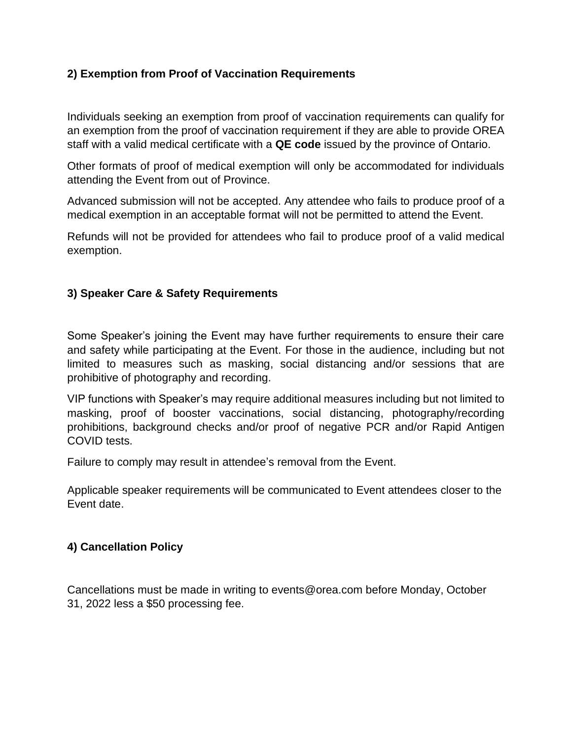## **2) Exemption from Proof of Vaccination Requirements**

Individuals seeking an exemption from proof of vaccination requirements can qualify for an exemption from the proof of vaccination requirement if they are able to provide OREA staff with a valid medical certificate with a **QE code** issued by the province of Ontario.

Other formats of proof of medical exemption will only be accommodated for individuals attending the Event from out of Province.

Advanced submission will not be accepted. Any attendee who fails to produce proof of a medical exemption in an acceptable format will not be permitted to attend the Event.

Refunds will not be provided for attendees who fail to produce proof of a valid medical exemption.

#### **3) Speaker Care & Safety Requirements**

Some Speaker's joining the Event may have further requirements to ensure their care and safety while participating at the Event. For those in the audience, including but not limited to measures such as masking, social distancing and/or sessions that are prohibitive of photography and recording.

VIP functions with Speaker's may require additional measures including but not limited to masking, proof of booster vaccinations, social distancing, photography/recording prohibitions, background checks and/or proof of negative PCR and/or Rapid Antigen COVID tests.

Failure to comply may result in attendee's removal from the Event.

Applicable speaker requirements will be communicated to Event attendees closer to the Event date.

## **4) Cancellation Policy**

Cancellations must be made in writing to events@orea.com before Monday, October 31, 2022 less a \$50 processing fee.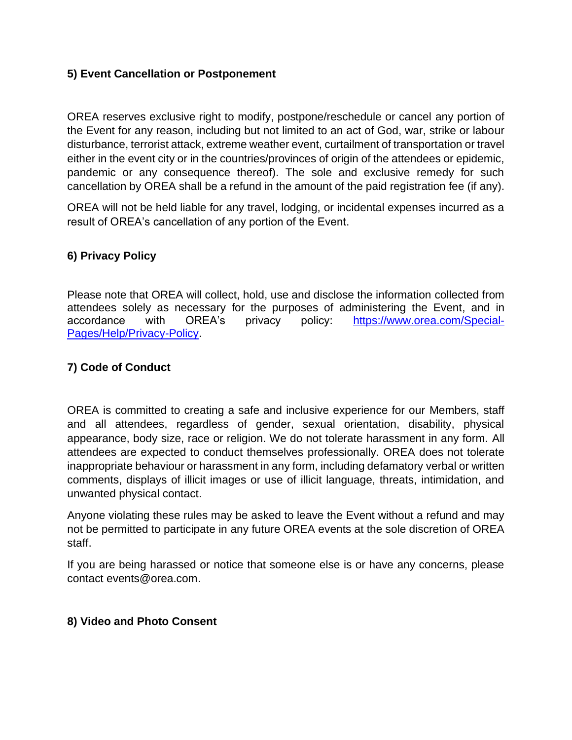#### **5) Event Cancellation or Postponement**

OREA reserves exclusive right to modify, postpone/reschedule or cancel any portion of the Event for any reason, including but not limited to an act of God, war, strike or labour disturbance, terrorist attack, extreme weather event, curtailment of transportation or travel either in the event city or in the countries/provinces of origin of the attendees or epidemic, pandemic or any consequence thereof). The sole and exclusive remedy for such cancellation by OREA shall be a refund in the amount of the paid registration fee (if any).

OREA will not be held liable for any travel, lodging, or incidental expenses incurred as a result of OREA's cancellation of any portion of the Event.

## **6) Privacy Policy**

Please note that OREA will collect, hold, use and disclose the information collected from attendees solely as necessary for the purposes of administering the Event, and in accordance with OREA's privacy policy: https://www.orea.com/Special-Pages/Help/Privacy-Policy.

#### **7) Code of Conduct**

OREA is committed to creating a safe and inclusive experience for our Members, staff and all attendees, regardless of gender, sexual orientation, disability, physical appearance, body size, race or religion. We do not tolerate harassment in any form. All attendees are expected to conduct themselves professionally. OREA does not tolerate inappropriate behaviour or harassment in any form, including defamatory verbal or written comments, displays of illicit images or use of illicit language, threats, intimidation, and unwanted physical contact.

Anyone violating these rules may be asked to leave the Event without a refund and may not be permitted to participate in any future OREA events at the sole discretion of OREA staff.

If you are being harassed or notice that someone else is or have any concerns, please contact events@orea.com.

#### **8) Video and Photo Consent**